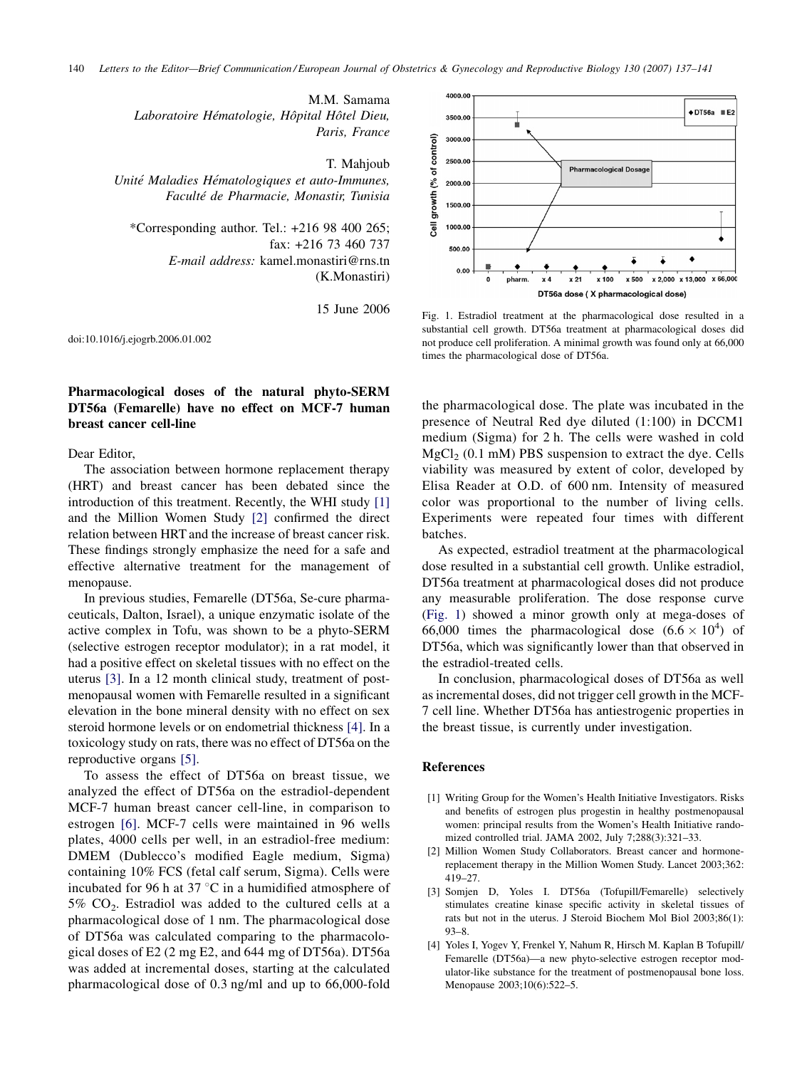M.M. Samama Laboratoire Hématologie, Hôpital Hôtel Dieu, Paris, France

T. Mahjoub

Unité Maladies Hématologiques et auto-Immunes, Faculté de Pharmacie, Monastir, Tunisia

\*Corresponding author. Tel.: +216 98 400 265; fax: +216 73 460 737 E-mail address: kamel.monastiri@rns.tn (K.Monastiri)

15 June 2006

doi:10.1016/j.ejogrb.2006.01.002

## Pharmacological doses of the natural phyto-SERM DT56a (Femarelle) have no effect on MCF-7 human breast cancer cell-line

## Dear Editor,

The association between hormone replacement therapy (HRT) and breast cancer has been debated since the introduction of this treatment. Recently, the WHI study [1] and the Million Women Study [2] confirmed the direct relation between HRT and the increase of breast cancer risk. These findings strongly emphasize the need for a safe and effective alternative treatment for the management of menopause.

In previous studies, Femarelle (DT56a, Se-cure pharmaceuticals, Dalton, Israel), a unique enzymatic isolate of the active complex in Tofu, was shown to be a phyto-SERM (selective estrogen receptor modulator); in a rat model, it had a positive effect on skeletal tissues with no effect on the uterus [3]. In a 12 month clinical study, treatment of postmenopausal women with Femarelle resulted in a significant elevation in the bone mineral density with no effect on sex steroid hormone levels or on endometrial thickness [4]. In a toxicology study on rats, there was no effect of DT56a on the reproductive organs [\[5\].](#page-1-0)

To assess the effect of DT56a on breast tissue, we analyzed the effect of DT56a on the estradiol-dependent MCF-7 human breast cancer cell-line, in comparison to estrogen [\[6\].](#page-1-0) MCF-7 cells were maintained in 96 wells plates, 4000 cells per well, in an estradiol-free medium: DMEM (Dublecco's modified Eagle medium, Sigma) containing 10% FCS (fetal calf serum, Sigma). Cells were incubated for 96 h at 37  $\degree$ C in a humidified atmosphere of  $5\%$  CO<sub>2</sub>. Estradiol was added to the cultured cells at a pharmacological dose of 1 nm. The pharmacological dose of DT56a was calculated comparing to the pharmacological doses of E2 (2 mg E2, and 644 mg of DT56a). DT56a was added at incremental doses, starting at the calculated pharmacological dose of 0.3 ng/ml and up to 66,000-fold



Fig. 1. Estradiol treatment at the pharmacological dose resulted in a substantial cell growth. DT56a treatment at pharmacological doses did not produce cell proliferation. A minimal growth was found only at 66,000 times the pharmacological dose of DT56a.

the pharmacological dose. The plate was incubated in the presence of Neutral Red dye diluted (1:100) in DCCM1 medium (Sigma) for 2 h. The cells were washed in cold  $MgCl<sub>2</sub>$  (0.1 mM) PBS suspension to extract the dye. Cells viability was measured by extent of color, developed by Elisa Reader at O.D. of 600 nm. Intensity of measured color was proportional to the number of living cells. Experiments were repeated four times with different batches.

As expected, estradiol treatment at the pharmacological dose resulted in a substantial cell growth. Unlike estradiol, DT56a treatment at pharmacological doses did not produce any measurable proliferation. The dose response curve (Fig. 1) showed a minor growth only at mega-doses of 66,000 times the pharmacological dose  $(6.6 \times 10^4)$  of DT56a, which was significantly lower than that observed in the estradiol-treated cells.

In conclusion, pharmacological doses of DT56a as well as incremental doses, did not trigger cell growth in the MCF-7 cell line. Whether DT56a has antiestrogenic properties in the breast tissue, is currently under investigation.

## References

- [1] Writing Group for the Women's Health Initiative Investigators. Risks and benefits of estrogen plus progestin in healthy postmenopausal women: principal results from the Women's Health Initiative randomized controlled trial. JAMA 2002, July 7;288(3):321–33.
- [2] Million Women Study Collaborators. Breast cancer and hormonereplacement therapy in the Million Women Study. Lancet 2003;362: 419–27.
- [3] Somjen D, Yoles I. DT56a (Tofupill/Femarelle) selectively stimulates creatine kinase specific activity in skeletal tissues of rats but not in the uterus. J Steroid Biochem Mol Biol 2003;86(1): 93–8.
- [4] Yoles I, Yogev Y, Frenkel Y, Nahum R, Hirsch M. Kaplan B Tofupill/ Femarelle (DT56a)—a new phyto-selective estrogen receptor modulator-like substance for the treatment of postmenopausal bone loss. Menopause 2003;10(6):522–5.